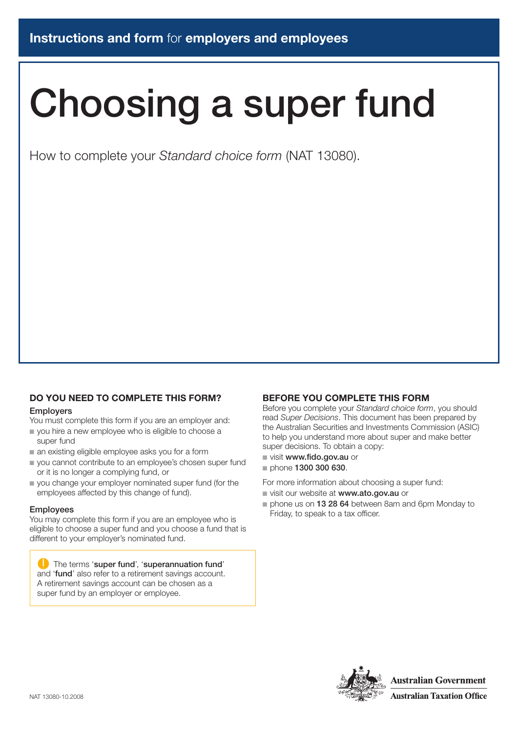# Choosing a super fund

How to complete your *Standard choice form* (NAT 13080).

# **DO YOU NEED TO COMPLETE THIS FORM?** Employers

You must complete this form if you are an employer and:

- vou hire a new employee who is eligible to choose a super fund
- $\blacksquare$  an existing eligible employee asks you for a form
- vou cannot contribute to an employee's chosen super fund or it is no longer a complying fund, or
- n you change your employer nominated super fund (for the employees affected by this change of fund).

#### **Employees**

You may complete this form if you are an employee who is eligible to choose a super fund and you choose a fund that is different to your employer's nominated fund.

#### The terms 'super fund', 'superannuation fund' and 'fund' also refer to a retirement savings account. A retirement savings account can be chosen as a super fund by an employer or employee.

# **BEFORE YOU COMPLETE THIS FORM**

Before you complete your *Standard choice form*, you should read *Super Decisions*. This document has been prepared by the Australian Securities and Investments Commission (ASIC) to help you understand more about super and make better super decisions. To obtain a copy:

- $\blacksquare$  visit www.fido.gov.au or
- n phone 1300 300 630.

For more information about choosing a super fund:

- visit our website at www.ato.gov.au or
- $\blacksquare$  phone us on 13 28 64 between 8am and 6pm Monday to Friday, to speak to a tax officer.

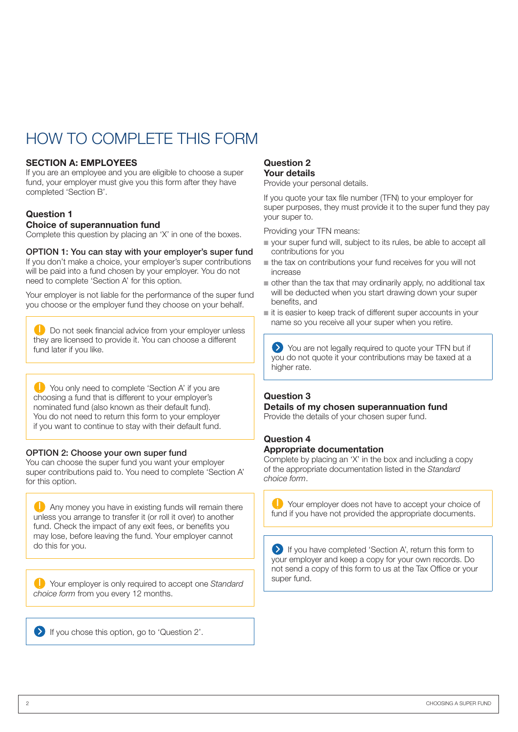# how to complete this form

### **SECTION A: EMPLOYEES**

If you are an employee and you are eligible to choose a super fund, your employer must give you this form after they have completed 'Section B'.

# **Question 1**

### **Choice of superannuation fund**

Complete this question by placing an 'X' in one of the boxes.

### OPTION 1: You can stay with your employer's super fund

If you don't make a choice, your employer's super contributions will be paid into a fund chosen by your employer. You do not need to complete 'Section A' for this option.

Your employer is not liable for the performance of the super fund you choose or the employer fund they choose on your behalf.

**D** Do not seek financial advice from your employer unless they are licensed to provide it. You can choose a different fund later if you like.

**C** You only need to complete 'Section A' if you are choosing a fund that is different to your employer's nominated fund (also known as their default fund). You do not need to return this form to your employer if you want to continue to stay with their default fund.

### OPTION 2: Choose your own super fund

You can choose the super fund you want your employer super contributions paid to. You need to complete 'Section A' for this option.

**Any money you have in existing funds will remain there** unless you arrange to transfer it (or roll it over) to another fund. Check the impact of any exit fees, or benefits you may lose, before leaving the fund. Your employer cannot do this for you.

Your employer is only required to accept one *Standard choice form* from you every 12 months.

If you chose this option, go to 'Question 2'.

#### **Question 2 Your details**

Provide your personal details.

If you quote your tax file number (TFN) to your employer for super purposes, they must provide it to the super fund they pay your super to.

Providing your TFN means:

- vour super fund will, subject to its rules, be able to accept all contributions for you
- $n$  the tax on contributions your fund receives for you will not increase
- n other than the tax that may ordinarily apply, no additional tax will be deducted when you start drawing down your super benefits, and
- n it is easier to keep track of different super accounts in your name so you receive all your super when you retire.

You are not legally required to quote your TFN but if you do not quote it your contributions may be taxed at a higher rate.

# **Question 3**

#### **Details of my chosen superannuation fund**

Provide the details of your chosen super fund.

# **Question 4 Appropriate documentation**

Complete by placing an 'X' in the box and including a copy of the appropriate documentation listed in the *Standard choice form*.

Your employer does not have to accept your choice of fund if you have not provided the appropriate documents.

If you have completed 'Section A', return this form to your employer and keep a copy for your own records. Do not send a copy of this form to us at the Tax Office or your super fund.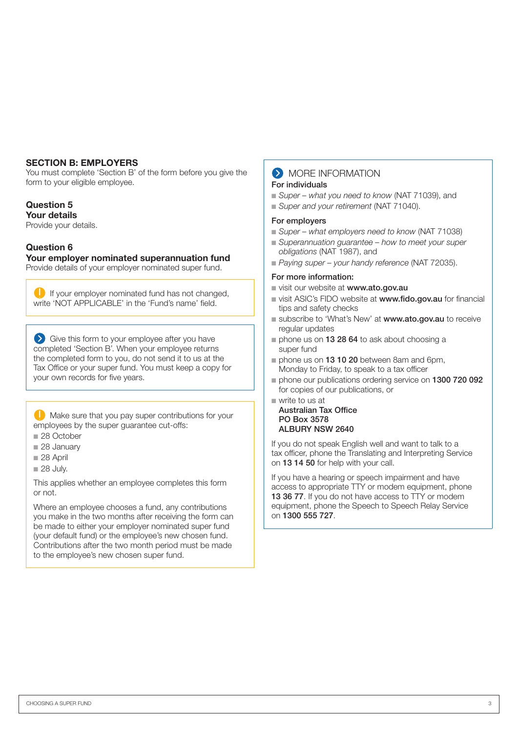#### **SECTION B: EMPLOYERS**

You must complete 'Section B' of the form before you give the form to your eligible employee.

# **Question 5**

# **Your details**

Provide your details.

# **Question 6**

**Your employer nominated superannuation fund**

Provide details of your employer nominated super fund.

If your employer nominated fund has not changed, write 'NOT APPLICABLE' in the 'Fund's name' field.

Give this form to your employee after you have completed 'Section B'. When your employee returns the completed form to you, do not send it to us at the Tax Office or your super fund. You must keep a copy for your own records for five years.

 Make sure that you pay super contributions for your employees by the super guarantee cut-offs:

- 28 October
- 28 January
- $\equiv$  28 April
- $28$  July.

This applies whether an employee completes this form or not.

Where an employee chooses a fund, any contributions you make in the two months after receiving the form can be made to either your employer nominated super fund (your default fund) or the employee's new chosen fund. Contributions after the two month period must be made to the employee's new chosen super fund.

# **S** MORE INFORMATION

#### For individuals

- *Super what you need to know* (NAT 71039), and
- *Super and your retirement* (NAT 71040).

#### For employers

- *Super what employers need to know* (NAT 71038)
- *Superannuation quarantee how to meet your super obligations* (NAT 1987), and
- n *Paying super your handy reference* (NAT 72035).

#### For more information:

- visit our website at www.ato.gov.au
- visit ASIC's FIDO website at www.fido.gov.au for financial tips and safety checks
- subscribe to 'What's New' at www.ato.gov.au to receive regular updates
- n phone us on **13 28 64** to ask about choosing a super fund
- n phone us on **13 10 20** between 8am and 6pm. Monday to Friday, to speak to a tax officer
- phone our publications ordering service on 1300 720 092 for copies of our publications, or
- $\blacksquare$  write to us at

Australian Tax Office PO Box 3578 ALBURY NSW 2640

If you do not speak English well and want to talk to a tax officer, phone the Translating and Interpreting Service on 13 14 50 for help with your call.

If you have a hearing or speech impairment and have access to appropriate TTY or modem equipment, phone 13 36 77. If you do not have access to TTY or modem equipment, phone the Speech to Speech Relay Service on 1300 555 727.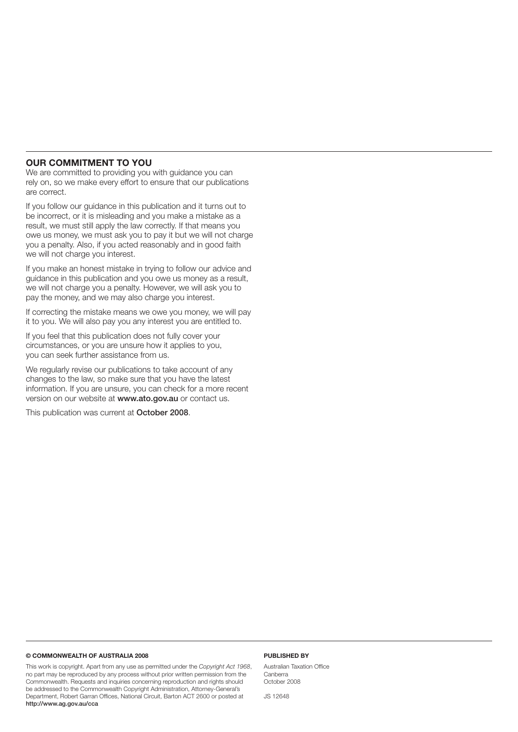#### **Our commitment to you**

We are committed to providing you with guidance you can rely on, so we make every effort to ensure that our publications are correct.

If you follow our guidance in this publication and it turns out to be incorrect, or it is misleading and you make a mistake as a result, we must still apply the law correctly. If that means you owe us money, we must ask you to pay it but we will not charge you a penalty. Also, if you acted reasonably and in good faith we will not charge you interest.

If you make an honest mistake in trying to follow our advice and guidance in this publication and you owe us money as a result, we will not charge you a penalty. However, we will ask you to pay the money, and we may also charge you interest.

If correcting the mistake means we owe you money, we will pay it to you. We will also pay you any interest you are entitled to.

If you feel that this publication does not fully cover your circumstances, or you are unsure how it applies to you, you can seek further assistance from us.

We regularly revise our publications to take account of any changes to the law, so make sure that you have the latest information. If you are unsure, you can check for a more recent version on our website at www.ato.gov.au or contact us.

This publication was current at October 2008.

#### **© Commonwealth of Australia 2008**

This work is copyright. Apart from any use as permitted under the *Copyright Act 1968*, no part may be reproduced by any process without prior written permission from the Commonwealth. Requests and inquiries concerning reproduction and rights should be addressed to the Commonwealth Copyright Administration, Attorney‑General's Department, Robert Garran Offices, National Circuit, Barton ACT 2600 or posted at http://www.ag.gov.au/cca

#### **Published by**

Australian Taxation Office Canberra October 2008

JS 12648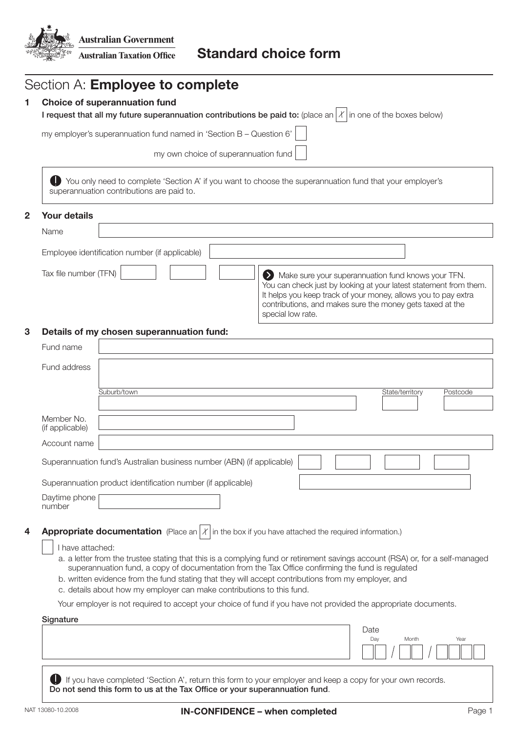

|                |                                                                                                                                                          | Section A: <b>Employee to complete</b>                                                                                                                                                                                                                                                                                                                                                                             |  |  |                   |  |  |             |                                                                                                                                                                                                                                                        |  |          |  |  |  |
|----------------|----------------------------------------------------------------------------------------------------------------------------------------------------------|--------------------------------------------------------------------------------------------------------------------------------------------------------------------------------------------------------------------------------------------------------------------------------------------------------------------------------------------------------------------------------------------------------------------|--|--|-------------------|--|--|-------------|--------------------------------------------------------------------------------------------------------------------------------------------------------------------------------------------------------------------------------------------------------|--|----------|--|--|--|
| 1              | <b>Choice of superannuation fund</b><br>I request that all my future superannuation contributions be paid to: (place an $ X $ in one of the boxes below) |                                                                                                                                                                                                                                                                                                                                                                                                                    |  |  |                   |  |  |             |                                                                                                                                                                                                                                                        |  |          |  |  |  |
|                | my employer's superannuation fund named in 'Section B - Question 6'                                                                                      |                                                                                                                                                                                                                                                                                                                                                                                                                    |  |  |                   |  |  |             |                                                                                                                                                                                                                                                        |  |          |  |  |  |
|                | my own choice of superannuation fund                                                                                                                     |                                                                                                                                                                                                                                                                                                                                                                                                                    |  |  |                   |  |  |             |                                                                                                                                                                                                                                                        |  |          |  |  |  |
|                |                                                                                                                                                          | You only need to complete 'Section A' if you want to choose the superannuation fund that your employer's                                                                                                                                                                                                                                                                                                           |  |  |                   |  |  |             |                                                                                                                                                                                                                                                        |  |          |  |  |  |
|                |                                                                                                                                                          | superannuation contributions are paid to.                                                                                                                                                                                                                                                                                                                                                                          |  |  |                   |  |  |             |                                                                                                                                                                                                                                                        |  |          |  |  |  |
| $\overline{2}$ | <b>Your details</b>                                                                                                                                      |                                                                                                                                                                                                                                                                                                                                                                                                                    |  |  |                   |  |  |             |                                                                                                                                                                                                                                                        |  |          |  |  |  |
|                | Name                                                                                                                                                     |                                                                                                                                                                                                                                                                                                                                                                                                                    |  |  |                   |  |  |             |                                                                                                                                                                                                                                                        |  |          |  |  |  |
|                |                                                                                                                                                          | Employee identification number (if applicable)                                                                                                                                                                                                                                                                                                                                                                     |  |  |                   |  |  |             |                                                                                                                                                                                                                                                        |  |          |  |  |  |
|                | Tax file number (TFN)                                                                                                                                    |                                                                                                                                                                                                                                                                                                                                                                                                                    |  |  | special low rate. |  |  |             | Make sure your superannuation fund knows your TFN.<br>You can check just by looking at your latest statement from them.<br>It helps you keep track of your money, allows you to pay extra<br>contributions, and makes sure the money gets taxed at the |  |          |  |  |  |
| 3              |                                                                                                                                                          | Details of my chosen superannuation fund:                                                                                                                                                                                                                                                                                                                                                                          |  |  |                   |  |  |             |                                                                                                                                                                                                                                                        |  |          |  |  |  |
|                | Fund name                                                                                                                                                |                                                                                                                                                                                                                                                                                                                                                                                                                    |  |  |                   |  |  |             |                                                                                                                                                                                                                                                        |  |          |  |  |  |
|                | Fund address                                                                                                                                             |                                                                                                                                                                                                                                                                                                                                                                                                                    |  |  |                   |  |  |             |                                                                                                                                                                                                                                                        |  |          |  |  |  |
|                |                                                                                                                                                          | Suburb/town                                                                                                                                                                                                                                                                                                                                                                                                        |  |  |                   |  |  |             | State/territory                                                                                                                                                                                                                                        |  | Postcode |  |  |  |
|                | Member No.                                                                                                                                               |                                                                                                                                                                                                                                                                                                                                                                                                                    |  |  |                   |  |  |             |                                                                                                                                                                                                                                                        |  |          |  |  |  |
|                | (if applicable)<br>Account name                                                                                                                          |                                                                                                                                                                                                                                                                                                                                                                                                                    |  |  |                   |  |  |             |                                                                                                                                                                                                                                                        |  |          |  |  |  |
|                |                                                                                                                                                          | Superannuation fund's Australian business number (ABN) (if applicable)                                                                                                                                                                                                                                                                                                                                             |  |  |                   |  |  |             |                                                                                                                                                                                                                                                        |  |          |  |  |  |
|                |                                                                                                                                                          |                                                                                                                                                                                                                                                                                                                                                                                                                    |  |  |                   |  |  |             |                                                                                                                                                                                                                                                        |  |          |  |  |  |
|                | Daytime phone                                                                                                                                            | Superannuation product identification number (if applicable)                                                                                                                                                                                                                                                                                                                                                       |  |  |                   |  |  |             |                                                                                                                                                                                                                                                        |  |          |  |  |  |
|                | number                                                                                                                                                   |                                                                                                                                                                                                                                                                                                                                                                                                                    |  |  |                   |  |  |             |                                                                                                                                                                                                                                                        |  |          |  |  |  |
| 4              |                                                                                                                                                          | <b>Appropriate documentation</b> (Place an $ X $ in the box if you have attached the required information.)                                                                                                                                                                                                                                                                                                        |  |  |                   |  |  |             |                                                                                                                                                                                                                                                        |  |          |  |  |  |
|                | I have attached:                                                                                                                                         | a. a letter from the trustee stating that this is a complying fund or retirement savings account (RSA) or, for a self-managed<br>superannuation fund, a copy of documentation from the Tax Office confirming the fund is regulated<br>b. written evidence from the fund stating that they will accept contributions from my employer, and<br>c. details about how my employer can make contributions to this fund. |  |  |                   |  |  |             |                                                                                                                                                                                                                                                        |  |          |  |  |  |
|                | Your employer is not required to accept your choice of fund if you have not provided the appropriate documents.                                          |                                                                                                                                                                                                                                                                                                                                                                                                                    |  |  |                   |  |  |             |                                                                                                                                                                                                                                                        |  |          |  |  |  |
|                | Signature                                                                                                                                                |                                                                                                                                                                                                                                                                                                                                                                                                                    |  |  |                   |  |  | Date<br>Day | Month                                                                                                                                                                                                                                                  |  | Year     |  |  |  |
|                |                                                                                                                                                          | If you have completed 'Section A', return this form to your employer and keep a copy for your own records.<br>Do not send this form to us at the Tax Office or your superannuation fund.                                                                                                                                                                                                                           |  |  |                   |  |  |             |                                                                                                                                                                                                                                                        |  |          |  |  |  |